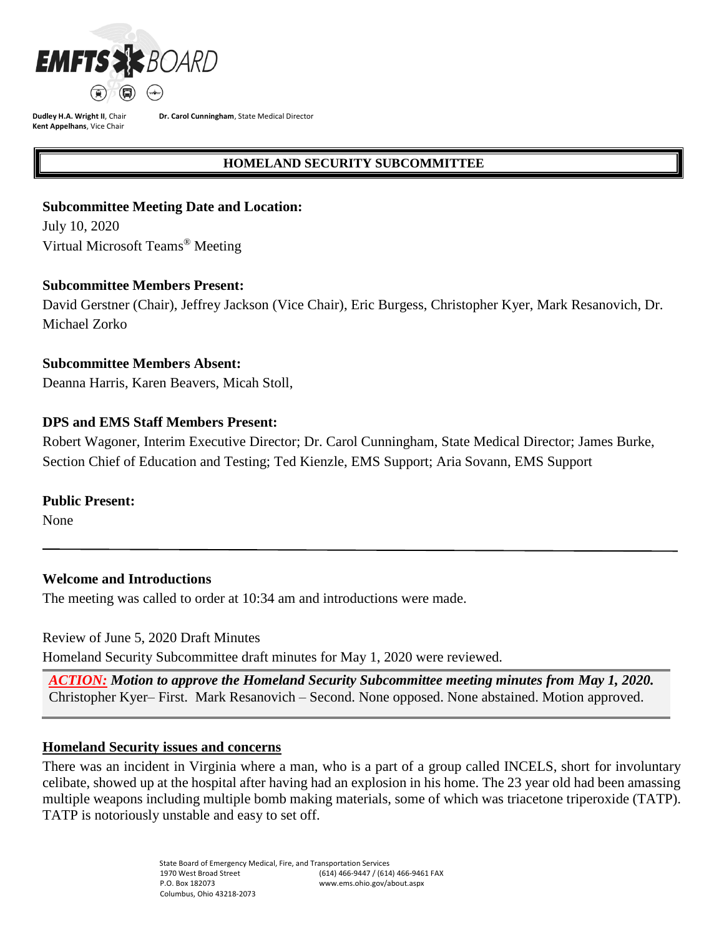

**Dr. Carol Cunningham**, State Medical Director

## **HOMELAND SECURITY SUBCOMMITTEE**

## **Subcommittee Meeting Date and Location:**

July 10, 2020 Virtual Microsoft Teams ® Meeting

## **Subcommittee Members Present:**

David Gerstner (Chair), Jeffrey Jackson (Vice Chair), Eric Burgess, Christopher Kyer, Mark Resanovich, Dr. Michael Zorko

## **Subcommittee Members Absent:**

Deanna Harris, Karen Beavers, Micah Stoll,

## **DPS and EMS Staff Members Present:**

Robert Wagoner, Interim Executive Director; Dr. Carol Cunningham, State Medical Director; James Burke, Section Chief of Education and Testing; Ted Kienzle, EMS Support; Aria Sovann, EMS Support

## **Public Present:**

None

## **Welcome and Introductions**

The meeting was called to order at 10:34 am and introductions were made.

Review of June 5, 2020 Draft Minutes

Homeland Security Subcommittee draft minutes for May 1, 2020 were reviewed.

*ACTION: Motion to approve the Homeland Security Subcommittee meeting minutes from May 1, 2020.*  Christopher Kyer– First. Mark Resanovich – Second. None opposed. None abstained. Motion approved.

## **Homeland Security issues and concerns**

There was an incident in Virginia where a man, who is a part of a group called INCELS, short for involuntary celibate, showed up at the hospital after having had an explosion in his home. The 23 year old had been amassing multiple weapons including multiple bomb making materials, some of which was triacetone triperoxide (TATP). TATP is notoriously unstable and easy to set off.

> State Board of Emergency Medical, Fire, and Transportation Services 1970 West Broad Street P.O. Box 182073 Columbus, Ohio 43218-2073 (614) 466-9447 / (614) 466-9461 FAX www.ems.ohio.gov/about.aspx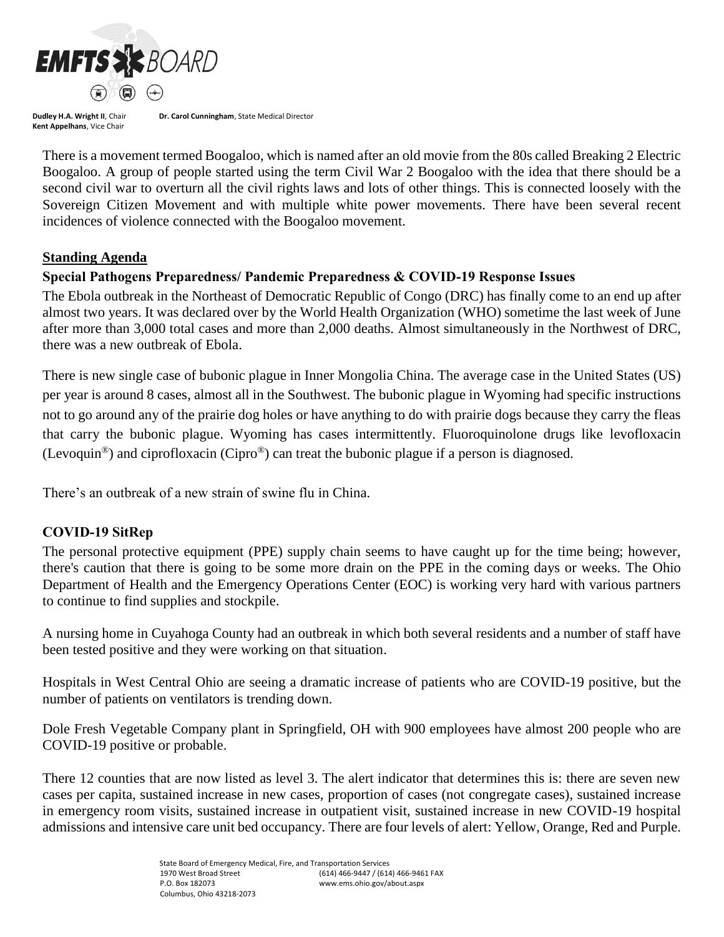

**Dr. Carol Cunningham**, State Medical Director

There is a movement termed Boogaloo, which is named after an old movie from the 80s called Breaking 2 Electric Boogaloo. A group of people started using the term Civil War 2 Boogaloo with the idea that there should be a second civil war to overturn all the civil rights laws and lots of other things. This is connected loosely with the Sovereign Citizen Movement and with multiple white power movements. There have been several recent incidences of violence connected with the Boogaloo movement.

## **Standing Agenda**

## **Special Pathogens Preparedness/ Pandemic Preparedness & COVID-19 Response Issues**

The Ebola outbreak in the Northeast of Democratic Republic of Congo (DRC) has finally come to an end up after almost two years. It was declared over by the World Health Organization (WHO) sometime the last week of June after more than 3,000 total cases and more than 2,000 deaths. Almost simultaneously in the Northwest of DRC, there was a new outbreak of Ebola.

There is new single case of bubonic plague in Inner Mongolia China. The average case in the United States (US) per year is around 8 cases, almost all in the Southwest. The bubonic plague in Wyoming had specific instructions not to go around any of the prairie dog holes or have anything to do with prairie dogs because they carry the fleas that carry the bubonic plague. Wyoming has cases intermittently. Fluoroquinolone drugs like levofloxacin (Levoquin®) and ciprofloxacin (Cipro®) can treat the bubonic plague if a person is diagnosed.

There's an outbreak of a new strain of swine flu in China.

## **COVID-19 SitRep**

The personal protective equipment (PPE) supply chain seems to have caught up for the time being; however, there's caution that there is going to be some more drain on the PPE in the coming days or weeks. The Ohio Department of Health and the Emergency Operations Center (EOC) is working very hard with various partners to continue to find supplies and stockpile.

A nursing home in Cuyahoga County had an outbreak in which both several residents and a number of staff have been tested positive and they were working on that situation.

Hospitals in West Central Ohio are seeing a dramatic increase of patients who are COVID-19 positive, but the number of patients on ventilators is trending down.

Dole Fresh Vegetable Company plant in Springfield, OH with 900 employees have almost 200 people who are COVID-19 positive or probable.

There 12 counties that are now listed as level 3. The alert indicator that determines this is: there are seven new cases per capita, sustained increase in new cases, proportion of cases (not congregate cases), sustained increase in emergency room visits, sustained increase in outpatient visit, sustained increase in new COVID-19 hospital admissions and intensive care unit bed occupancy. There are four levels of alert: Yellow, Orange, Red and Purple.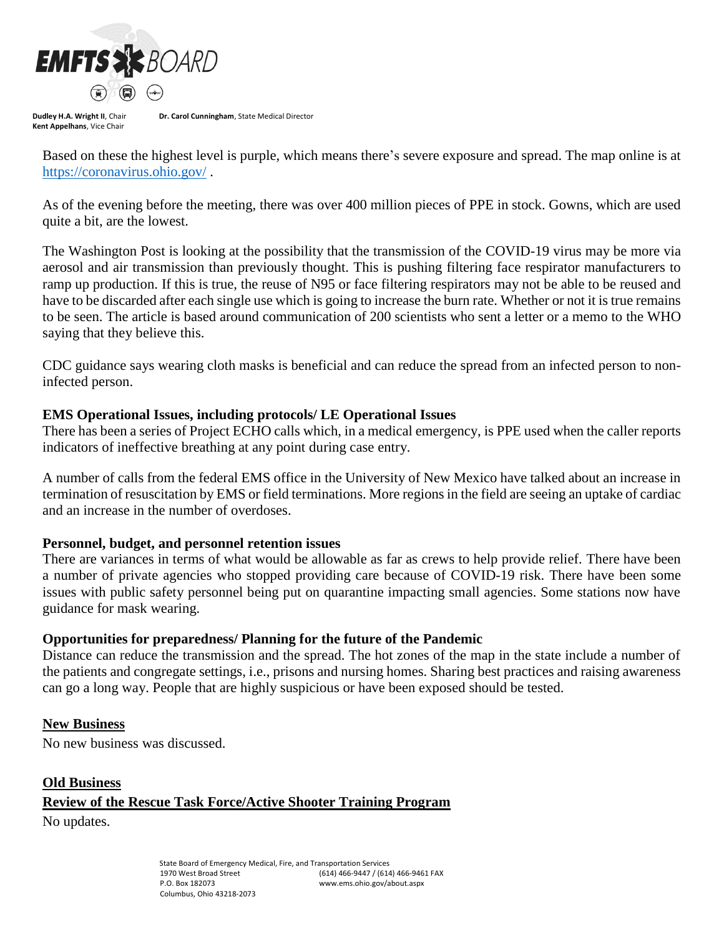

**Dr. Carol Cunningham**, State Medical Director

Based on these the highest level is purple, which means there's severe exposure and spread. The map online is at <https://coronavirus.ohio.gov/> .

As of the evening before the meeting, there was over 400 million pieces of PPE in stock. Gowns, which are used quite a bit, are the lowest.

The Washington Post is looking at the possibility that the transmission of the COVID-19 virus may be more via aerosol and air transmission than previously thought. This is pushing filtering face respirator manufacturers to ramp up production. If this is true, the reuse of N95 or face filtering respirators may not be able to be reused and have to be discarded after each single use which is going to increase the burn rate. Whether or not it is true remains to be seen. The article is based around communication of 200 scientists who sent a letter or a memo to the WHO saying that they believe this.

CDC guidance says wearing cloth masks is beneficial and can reduce the spread from an infected person to noninfected person.

## **EMS Operational Issues, including protocols/ LE Operational Issues**

There has been a series of Project ECHO calls which, in a medical emergency, is PPE used when the caller reports indicators of ineffective breathing at any point during case entry.

A number of calls from the federal EMS office in the University of New Mexico have talked about an increase in termination of resuscitation by EMS or field terminations. More regions in the field are seeing an uptake of cardiac and an increase in the number of overdoses.

## **Personnel, budget, and personnel retention issues**

There are variances in terms of what would be allowable as far as crews to help provide relief. There have been a number of private agencies who stopped providing care because of COVID-19 risk. There have been some issues with public safety personnel being put on quarantine impacting small agencies. Some stations now have guidance for mask wearing.

## **Opportunities for preparedness/ Planning for the future of the Pandemic**

Distance can reduce the transmission and the spread. The hot zones of the map in the state include a number of the patients and congregate settings, i.e., prisons and nursing homes. Sharing best practices and raising awareness can go a long way. People that are highly suspicious or have been exposed should be tested.

## **New Business**

No new business was discussed.

## **Old Business**

# **Review of the Rescue Task Force/Active Shooter Training Program**

No updates.